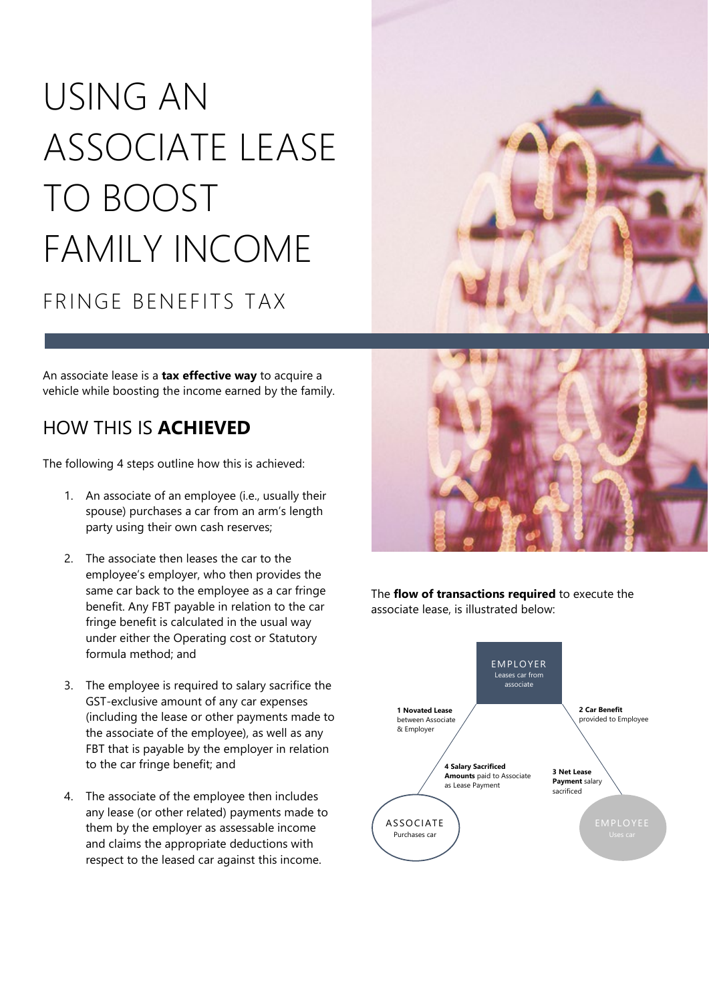# USING AN ASSOCIATE LEASE TO BOOST FAMILY INCOME FRINGE BENEFITS TAX

An associate lease is a **tax effective way** to acquire a vehicle while boosting the income earned by the family.

## HOW THIS IS **ACHIEVED**

The following 4 steps outline how this is achieved:

- 1. An associate of an employee (i.e., usually their spouse) purchases a car from an arm's length party using their own cash reserves;
- 2. The associate then leases the car to the employee's employer, who then provides the same car back to the employee as a car fringe benefit. Any FBT payable in relation to the car fringe benefit is calculated in the usual way under either the Operating cost or Statutory formula method; and
- 3. The employee is required to salary sacrifice the GST-exclusive amount of any car expenses (including the lease or other payments made to the associate of the employee), as well as any FBT that is payable by the employer in relation to the car fringe benefit; and
- 4. The associate of the employee then includes any lease (or other related) payments made to them by the employer as assessable income and claims the appropriate deductions with respect to the leased car against this income.





The **flow of transactions required** to execute the associate lease, is illustrated below:

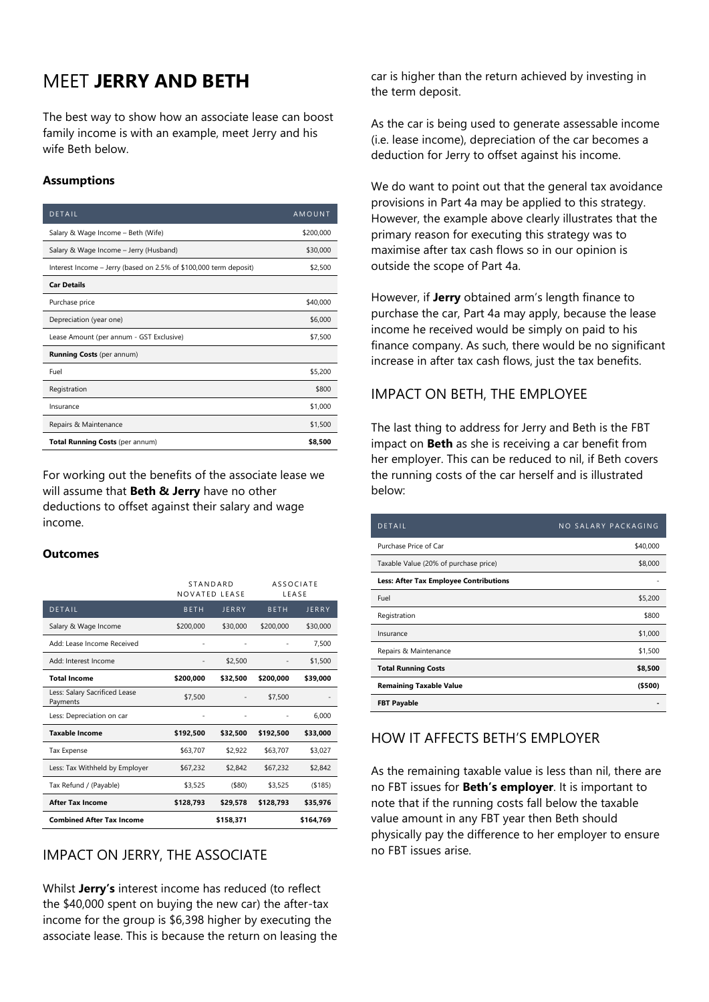# MEET **JERRY AND BETH**

The best way to show how an associate lease can boost family income is with an example, meet Jerry and his wife Beth below.

#### **Assumptions**

| <b>DETAIL</b>                                                     | AMOUNT    |
|-------------------------------------------------------------------|-----------|
| Salary & Wage Income - Beth (Wife)                                | \$200,000 |
| Salary & Wage Income - Jerry (Husband)                            | \$30,000  |
| Interest Income – Jerry (based on 2.5% of \$100,000 term deposit) | \$2,500   |
| <b>Car Details</b>                                                |           |
| Purchase price                                                    | \$40,000  |
| Depreciation (year one)                                           | \$6,000   |
| Lease Amount (per annum - GST Exclusive)                          | \$7.500   |
| <b>Running Costs</b> (per annum)                                  |           |
| Fuel                                                              | \$5,200   |
| Registration                                                      | \$800     |
| Insurance                                                         | \$1,000   |
| Repairs & Maintenance                                             | \$1,500   |
| Total Running Costs (per annum)                                   | \$8,500   |

For working out the benefits of the associate lease we will assume that **Beth & Jerry** have no other deductions to offset against their salary and wage income.

#### **Outcomes**

|                                           | STANDARD<br>NOVATED LEASE |              | <b>ASSOCIATE</b><br>LEASE |              |
|-------------------------------------------|---------------------------|--------------|---------------------------|--------------|
| DETAIL                                    | <b>BETH</b>               | <b>JERRY</b> | <b>BETH</b>               | <b>JERRY</b> |
| Salary & Wage Income                      | \$200,000                 | \$30,000     | \$200,000                 | \$30,000     |
| Add: Lease Income Received                |                           |              |                           | 7,500        |
| Add: Interest Income                      |                           | \$2,500      |                           | \$1,500      |
| <b>Total Income</b>                       | \$200,000                 | \$32,500     | \$200.000                 | \$39,000     |
| Less: Salary Sacrificed Lease<br>Payments | \$7,500                   |              | \$7,500                   |              |
| Less: Depreciation on car                 |                           |              |                           | 6,000        |
| <b>Taxable Income</b>                     | \$192,500                 | \$32,500     | \$192,500                 | \$33,000     |
| <b>Tax Expense</b>                        | \$63,707                  | \$2,922      | \$63,707                  | \$3,027      |
| Less: Tax Withheld by Employer            | \$67,232                  | \$2,842      | \$67,232                  | \$2,842      |
| Tax Refund / (Payable)                    | \$3,525                   | ( \$80)      | \$3,525                   | ( \$185)     |
| <b>After Tax Income</b>                   | \$128,793                 | \$29,578     | \$128.793                 | \$35,976     |
| <b>Combined After Tax Income</b>          |                           | \$158.371    |                           | \$164.769    |

## IMPACT ON JERRY, THE ASSOCIATE

Whilst **Jerry's** interest income has reduced (to reflect the \$40,000 spent on buying the new car) the after-tax income for the group is \$6,398 higher by executing the associate lease. This is because the return on leasing the car is higher than the return achieved by investing in the term deposit.

As the car is being used to generate assessable income (i.e. lease income), depreciation of the car becomes a deduction for Jerry to offset against his income.

We do want to point out that the general tax avoidance provisions in Part 4a may be applied to this strategy. However, the example above clearly illustrates that the primary reason for executing this strategy was to maximise after tax cash flows so in our opinion is outside the scope of Part 4a.

However, if **Jerry** obtained arm's length finance to purchase the car, Part 4a may apply, because the lease income he received would be simply on paid to his finance company. As such, there would be no significant increase in after tax cash flows, just the tax benefits.

### IMPACT ON BETH, THE EMPLOYEE

The last thing to address for Jerry and Beth is the FBT impact on **Beth** as she is receiving a car benefit from her employer. This can be reduced to nil, if Beth covers the running costs of the car herself and is illustrated below:

| <b>DETAIL</b>                                 | NO SALARY PACKAGING |
|-----------------------------------------------|---------------------|
| Purchase Price of Car                         | \$40,000            |
| Taxable Value (20% of purchase price)         | \$8,000             |
| <b>Less: After Tax Employee Contributions</b> |                     |
| Fuel                                          | \$5,200             |
| Registration                                  | \$800               |
| Insurance                                     | \$1,000             |
| Repairs & Maintenance                         | \$1,500             |
| <b>Total Running Costs</b>                    | \$8,500             |
| <b>Remaining Taxable Value</b>                | ( \$500)            |
| <b>FBT Payable</b>                            |                     |

## HOW IT AFFECTS BETH'S EMPLOYER

As the remaining taxable value is less than nil, there are no FBT issues for **Beth's employer**. It is important to note that if the running costs fall below the taxable value amount in any FBT year then Beth should physically pay the difference to her employer to ensure no FBT issues arise.